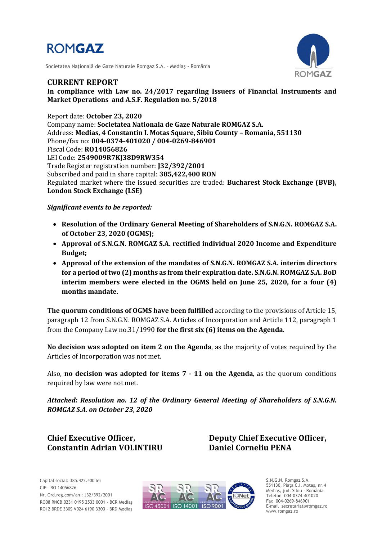

Societatea Naţională de Gaze Naturale Romgaz S.A. – Mediaş - România



### **CURRENT REPORT**

**In compliance with Law no. 24/2017 regarding Issuers of Financial Instruments and Market Operations and A.S.F. Regulation no. 5/2018**

Report date: **October 23, 2020** Company name: **Societatea Nationala de Gaze Naturale ROMGAZ S.A.** Address: **Medias, 4 Constantin I. Motas Square, Sibiu County – Romania, 551130** Phone/fax no: **004-0374-401020 / 004-0269-846901** Fiscal Code: **RO14056826** LEI Code: **2549009R7KJ38D9RW354** Trade Register registration number: **J32/392/2001** Subscribed and paid in share capital: **385,422,400 RON** Regulated market where the issued securities are traded: **Bucharest Stock Exchange (BVB), London Stock Exchange (LSE)**

### *Significant events to be reported:*

- **Resolution of the Ordinary General Meeting of Shareholders of S.N.G.N. ROMGAZ S.A. of October 23, 2020 (OGMS);**
- **Approval of S.N.G.N. ROMGAZ S.A. rectified individual 2020 Income and Expenditure Budget;**
- **Approval of the extension of the mandates of S.N.G.N. ROMGAZ S.A. interim directors for a period of two (2) months as from their expiration date. S.N.G.N. ROMGAZ S.A. BoD interim members were elected in the OGMS held on June 25, 2020, for a four (4) months mandate.**

**The quorum conditions of OGMS have been fulfilled** according to the provisions of Article 15, paragraph 12 from S.N.G.N. ROMGAZ S.A. Articles of Incorporation and Article 112, paragraph 1 from the Company Law no.31/1990 **for the first six (6) items on the Agenda**.

**No decision was adopted on item 2 on the Agenda**, as the majority of votes required by the Articles of Incorporation was not met.

Also, **no decision was adopted for items 7 - 11 on the Agenda**, as the quorum conditions required by law were not met.

*Attached: Resolution no. 12 of the Ordinary General Meeting of Shareholders of S.N.G.N. ROMGAZ S.A. on October 23, 2020*

**Constantin Adrian VOLINTIRU Daniel Corneliu PENA**

**Chief Executive Officer, Deputy Chief Executive Officer,**



S.N.G.N. Romgaz S.A. 551130, Piața C.I. Motaş, nr.4 Mediaş, jud. Sibiu - România Telefon 004-0374-401020 Fax 004-0269-846901 E-mail secretariat@romgaz.ro www.romgaz.ro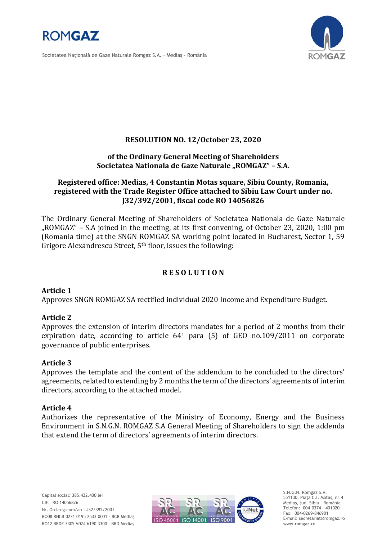

Societatea Naţională de Gaze Naturale Romgaz S.A. – Mediaş - România



# **RESOLUTION NO. 12/October 23, 2020**

### **of the Ordinary General Meeting of Shareholders Societatea Nationala de Gaze Naturale "ROMGAZ" – S.A.**

# **Registered office: Medias, 4 Constantin Motas square, Sibiu County, Romania, registered with the Trade Register Office attached to Sibiu Law Court under no. J32/392/2001, fiscal code RO 14056826**

The Ordinary General Meeting of Shareholders of Societatea Nationala de Gaze Naturale "ROMGAZ" – S.A joined in the meeting, at its first convening, of October 23, 2020, 1:00 pm (Romania time) at the SNGN ROMGAZ SA working point located in Bucharest, Sector 1, 59 Grigore Alexandrescu Street, 5<sup>th</sup> floor, issues the following:

# **R E S O L U T I O N**

# **Article 1**

Approves SNGN ROMGAZ SA rectified individual 2020 Income and Expenditure Budget.

# **Article 2**

Approves the extension of interim directors mandates for a period of 2 months from their expiration date, according to article  $64<sup>1</sup>$  para (5) of GEO no.109/2011 on corporate governance of public enterprises.

#### **Article 3**

Approves the template and the content of the addendum to be concluded to the directors' agreements, related to extending by 2 months the term of the directors' agreements of interim directors, according to the attached model.

#### **Article 4**

Authorizes the representative of the Ministry of Economy, Energy and the Business Environment in S.N.G.N. ROMGAZ S.A General Meeting of Shareholders to sign the addenda that extend the term of directors' agreements of interim directors.



S.N.G.N. Romgaz S.A. 551130, Piața C.I. Motaş, nr.4 Mediaş, jud. Sibiu - România Telefon: 004-0374 - 401020 Fax: 004-0269-846901 E-mail: secretariat@romgaz.ro www.romgaz.ro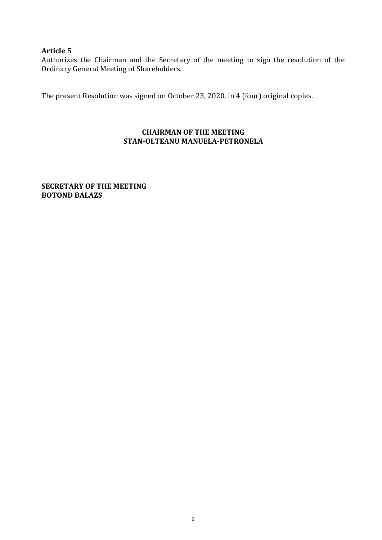# **Article 5**

Authorizes the Chairman and the Secretary of the meeting to sign the resolution of the Ordinary General Meeting of Shareholders.

The present Resolution was signed on October 23, 2020, in 4 (four) original copies.

# **CHAIRMAN OF THE MEETING STAN-OLTEANU MANUELA-PETRONELA**

**SECRETARY OF THE MEETING BOTOND BALAZS**